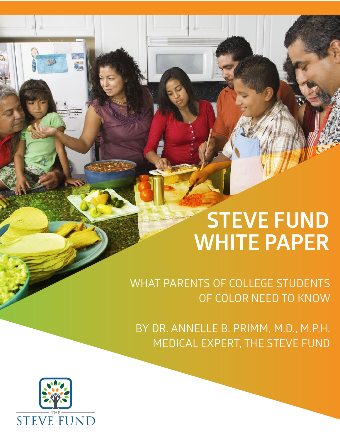# **STEVE FUND WHITE PAPER**

WHAT PARENTS OF COLLEGE STUDENTS OF COLOR NEED TO KNOW

BY DR. ANNELLE B. PRIMM, M.D., M.P.H. MEDICAL EXPERT, THE STEVE FUND

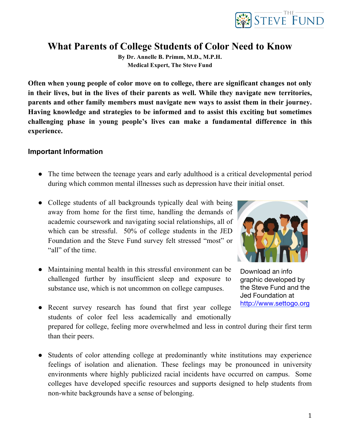

### **What Parents of College Students of Color Need to Know**

**By Dr. Annelle B. Primm, M.D., M.P.H. Medical Expert, The Steve Fund**

**Often when young people of color move on to college, there are significant changes not only in their lives, but in the lives of their parents as well. While they navigate new territories, parents and other family members must navigate new ways to assist them in their journey. Having knowledge and strategies to be informed and to assist this exciting but sometimes challenging phase in young people's lives can make a fundamental difference in this experience.** 

#### **Important Information**

- The time between the teenage years and early adulthood is a critical developmental period during which common mental illnesses such as depression have their initial onset.
- College students of all backgrounds typically deal with being away from home for the first time, handling the demands of academic coursework and navigating social relationships, all of which can be stressful. 50% of college students in the JED Foundation and the Steve Fund survey felt stressed "most" or "all" of the time.
- Maintaining mental health in this stressful environment can be challenged further by insufficient sleep and exposure to substance use, which is not uncommon on college campuses.



Download an info graphic developed by the Steve Fund and the Jed Foundation at http://www.settogo.org

- Recent survey research has found that first year college students of color feel less academically and emotionally prepared for college, feeling more overwhelmed and less in control during their first term than their peers.
- Students of color attending college at predominantly white institutions may experience feelings of isolation and alienation. These feelings may be pronounced in university environments where highly publicized racial incidents have occurred on campus. Some colleges have developed specific resources and supports designed to help students from non-white backgrounds have a sense of belonging.